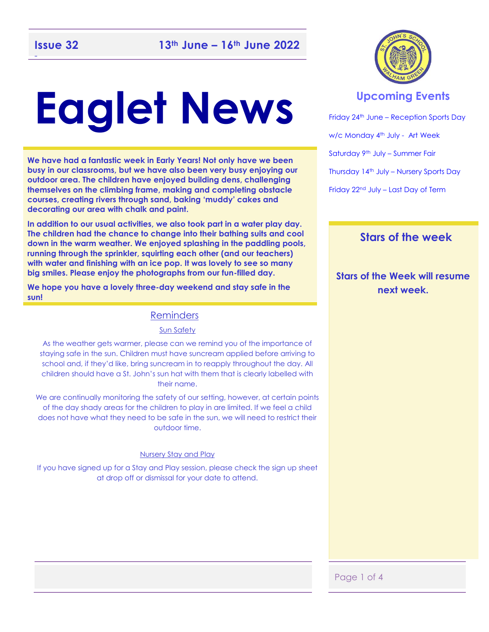### -

# **Eaglet News**

**We have had a fantastic week in Early Years! Not only have we been busy in our classrooms, but we have also been very busy enjoying our outdoor area. The children have enjoyed building dens, challenging themselves on the climbing frame, making and completing obstacle courses, creating rivers through sand, baking 'muddy' cakes and decorating our area with chalk and paint.** 

**In addition to our usual activities, we also took part in a water play day. The children had the chance to change into their bathing suits and cool down in the warm weather. We enjoyed splashing in the paddling pools, running through the sprinkler, squirting each other (and our teachers) with water and finishing with an ice pop. It was lovely to see so many big smiles. Please enjoy the photographs from our fun-filled day.** 

**We hope you have a lovely three-day weekend and stay safe in the sun!** 

### Reminders

#### Sun Safety

As the weather gets warmer, please can we remind you of the importance of staying safe in the sun. Children must have suncream applied before arriving to school and, if they'd like, bring suncream in to reapply throughout the day. All children should have a St. John's sun hat with them that is clearly labelled with their name.

We are continually monitoring the safety of our setting, however, at certain points of the day shady areas for the children to play in are limited. If we feel a child does not have what they need to be safe in the sun, we will need to restrict their outdoor time.

#### Nursery Stay and Play

If you have signed up for a Stay and Play session, please check the sign up sheet at drop off or dismissal for your date to attend.



### **Upcoming Events**

Friday 24<sup>th</sup> June – Reception Sports Day w/c Monday 4<sup>th</sup> July - Art Week Saturday 9th July – Summer Fair Thursday 14th July – Nursery Sports Day Friday 22nd July – Last Day of Term

### **Stars of the week**

**Stars of the Week will resume next week.** 

### Page 1 of 4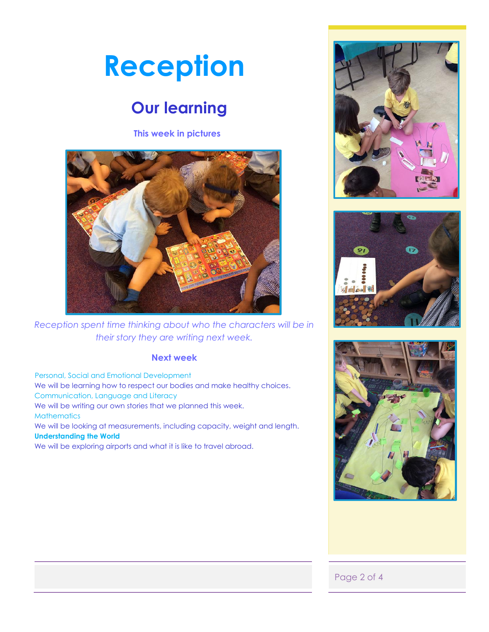## **Reception**

### **Our learning**

**This week in pictures**



*Reception spent time thinking about who the characters will be in their story they are writing next week.* 

### **Next week**

 Personal, Social and Emotional Development We will be learning how to respect our bodies and make healthy choices. Communication, Language and Literacy We will be writing our own stories that we planned this week. **Mathematics** We will be looking at measurements, including capacity, weight and length. **Understanding the World**  We will be exploring airports and what it is like to travel abroad.







### Page 2 of 4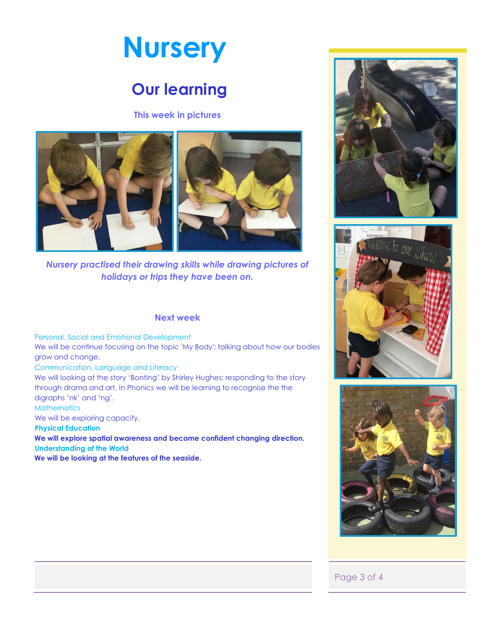

### **Our learning**

#### **This week in pictures**



*Nursery practised their drawing skills while drawing pictures of holidays or trips they have been on.* 

#### **Next week**

Personal, Social and Emotional Development

We will be continue focusing on the topic 'My Body'; talking about how our bodies grow and change.

Communication, Language and Literacy

We will looking at the story 'Bonting' by Shirley Hughes; responding to the story through drama and art. In Phonics we will be learning to recognise the the digraphs 'nk' and 'ng'.

**Mathematics** 

We will be exploring capacity.

 **Physical Education** 

**We will explore spatial awareness and become confident changing direction. Understanding of the World**

**We will be looking at the features of the seaside.** 







### Page 3 of 4